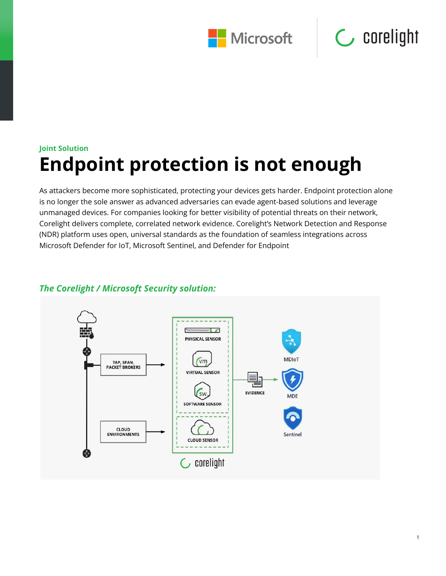



1

## **Joint Solution Endpoint protection is not enough**

As attackers become more sophisticated, protecting your devices gets harder. Endpoint protection alone is no longer the sole answer as advanced adversaries can evade agent-based solutions and leverage unmanaged devices. For companies looking for better visibility of potential threats on their network, Corelight delivers complete, correlated network evidence. Corelight's Network Detection and Response (NDR) platform uses open, universal standards as the foundation of seamless integrations across Microsoft Defender for IoT, Microsoft Sentinel, and Defender for Endpoint

#### $\mathbf{m}$ PHYSICAL SENSOR **MDIoT** vm TAP, SPAN,<br>PACKET BROKERS **VIRTUAL SENSOR EVIDENCE SW MDF SOFTWARE SENSOR** CLOUD **ENVIRONMENTS** Sentine **CLOUD SENSOR**  $\mathsf{C}$  corelight

#### *The Corelight / Microsoft Security solution:*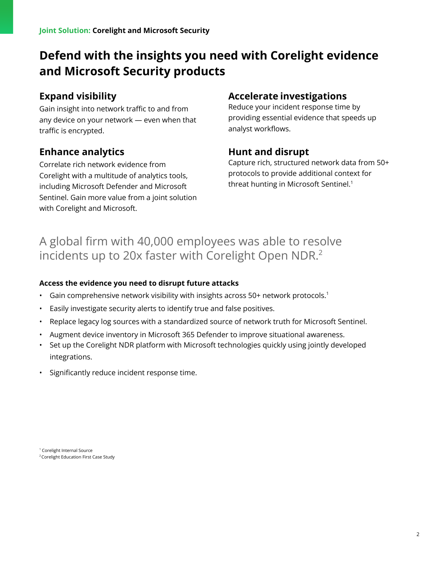## **Defend with the insights you need with Corelight evidence and Microsoft Security products**

#### **Expand visibility**

Gain insight into network traffic to and from any device on your network — even when that traffic is encrypted.

#### **Enhance analytics**

Correlate rich network evidence from Corelight with a multitude of analytics tools, including Microsoft Defender and Microsoft Sentinel. Gain more value from a joint solution with Corelight and Microsoft.

#### **Accelerate investigations**

Reduce your incident response time by providing essential evidence that speeds up analyst workflows.

#### **Hunt and disrupt**

Capture rich, structured network data from 50+ protocols to provide additional context for threat hunting in Microsoft Sentinel.<sup>1</sup>

### A global firm with 40,000 employees was able to resolve incidents up to 20x faster with Corelight Open NDR.<sup>2</sup>

#### **Access the evidence you need to disrupt future attacks**

- Gain comprehensive network visibility with insights across 50+ network protocols.<sup>1</sup>
- Easily investigate security alerts to identify true and false positives.
- Replace legacy log sources with a standardized source of network truth for Microsoft Sentinel.
- Augment device inventory in Microsoft 365 Defender to improve situational awareness.
- Set up the Corelight NDR platform with Microsoft technologies quickly using jointly developed integrations.
- Significantly reduce incident response time.

<sup>1</sup> Corelight Internal Source <sup>2</sup> Corelight Education First Case Study